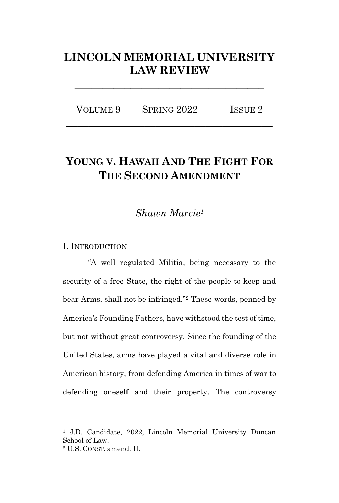## **LINCOLN MEMORIAL UNIVERSITY LAW REVIEW**

**\_\_\_\_\_\_\_\_\_\_\_\_\_\_\_\_\_\_\_\_\_\_\_\_\_\_\_\_\_\_\_\_\_\_**

| VOLUME 9 | SPRING 2022 | ISSUE <sub>2</sub> |
|----------|-------------|--------------------|
|          |             |                    |

# **YOUNG V. HAWAII AND THE FIGHT FOR THE SECOND AMENDMENT**

## *Shawn Marcie<sup>1</sup>*

#### I. INTRODUCTION

"A well regulated Militia, being necessary to the security of a free State, the right of the people to keep and bear Arms, shall not be infringed."<sup>2</sup> These words, penned by America's Founding Fathers, have withstood the test of time, but not without great controversy. Since the founding of the United States, arms have played a vital and diverse role in American history, from defending America in times of war to defending oneself and their property. The controversy

<sup>1</sup> J.D. Candidate, 2022, Lincoln Memorial University Duncan School of Law.

<sup>2</sup> U.S. CONST. amend. II.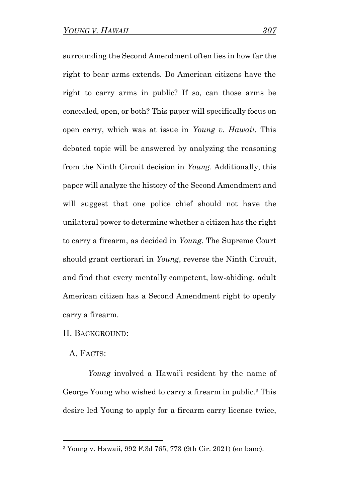surrounding the Second Amendment often lies in how far the right to bear arms extends. Do American citizens have the right to carry arms in public? If so, can those arms be concealed, open, or both? This paper will specifically focus on open carry, which was at issue in *Young v. Hawaii.* This debated topic will be answered by analyzing the reasoning from the Ninth Circuit decision in *Young*. Additionally, this paper will analyze the history of the Second Amendment and will suggest that one police chief should not have the unilateral power to determine whether a citizen has the right to carry a firearm, as decided in *Young*. The Supreme Court should grant certiorari in *Young*, reverse the Ninth Circuit, and find that every mentally competent, law-abiding, adult American citizen has a Second Amendment right to openly carry a firearm.

#### II. BACKGROUND:

A. FACTS:

*Young* involved a Hawai'i resident by the name of George Young who wished to carry a firearm in public. <sup>3</sup> This desire led Young to apply for a firearm carry license twice,

<sup>3</sup> Young v. Hawaii, 992 F.3d 765, 773 (9th Cir. 2021) (en banc).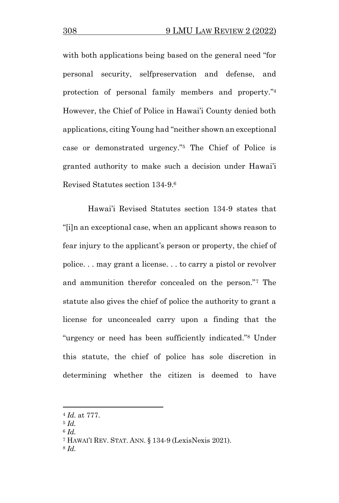with both applications being based on the general need "for personal security, selfpreservation and defense, and protection of personal family members and property." 4 However, the Chief of Police in Hawai'i County denied both applications, citing Young had "neither shown an exceptional case or demonstrated urgency."<sup>5</sup> The Chief of Police is granted authority to make such a decision under Hawai'i Revised Statutes section 134-9.<sup>6</sup>

Hawai'i Revised Statutes section 134-9 states that "[i]n an exceptional case, when an applicant shows reason to fear injury to the applicant's person or property, the chief of police. . . may grant a license. . . to carry a pistol or revolver and ammunition therefor concealed on the person."<sup>7</sup> The statute also gives the chief of police the authority to grant a license for unconcealed carry upon a finding that the "urgency or need has been sufficiently indicated."<sup>8</sup> Under this statute, the chief of police has sole discretion in determining whether the citizen is deemed to have

<sup>4</sup> *Id.* at 777.

<sup>5</sup> *Id.* 

<sup>6</sup> *Id.* 

<sup>7</sup> HAWAI'I REV. STAT. ANN. § 134-9 (LexisNexis 2021).

<sup>8</sup> *Id.*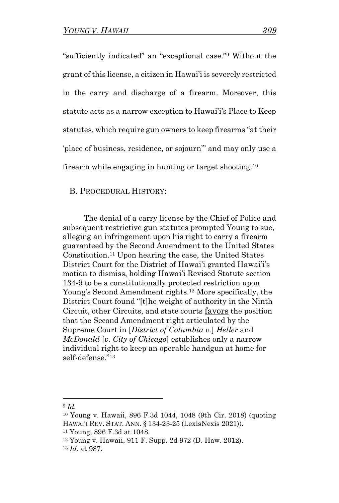"sufficiently indicated" an "exceptional case."<sup>9</sup> Without the grant of this license, a citizen in Hawai'i is severely restricted in the carry and discharge of a firearm. Moreover, this statute acts as a narrow exception to Hawai'i's Place to Keep statutes, which require gun owners to keep firearms "at their 'place of business, residence, or sojourn'" and may only use a firearm while engaging in hunting or target shooting.<sup>10</sup>

B. PROCEDURAL HISTORY:

The denial of a carry license by the Chief of Police and subsequent restrictive gun statutes prompted Young to sue, alleging an infringement upon his right to carry a firearm guaranteed by the Second Amendment to the United States Constitution.<sup>11</sup> Upon hearing the case, the United States District Court for the District of Hawai'i granted Hawai'i's motion to dismiss, holding Hawai'i Revised Statute section 134-9 to be a constitutionally protected restriction upon Young's Second Amendment rights.<sup>12</sup> More specifically, the District Court found "[t]he weight of authority in the Ninth Circuit, other Circuits, and state courts favors the position that the Second Amendment right articulated by the Supreme Court in [*District of Columbia v.*] *Heller* and *McDonald* [*v. City of Chicago*] establishes only a narrow individual right to keep an operable handgun at home for self-defense."<sup>13</sup>

<sup>9</sup> *Id.* 

<sup>10</sup> Young v. Hawaii, 896 F.3d 1044, 1048 (9th Cir. 2018) (quoting HAWAI'I REV. STAT. ANN. § 134-23-25 (LexisNexis 2021)).

<sup>11</sup> Young, 896 F.3d at 1048.

<sup>12</sup> Young v. Hawaii, 911 F. Supp. 2d 972 (D. Haw. 2012).

<sup>13</sup> *Id.* at 987.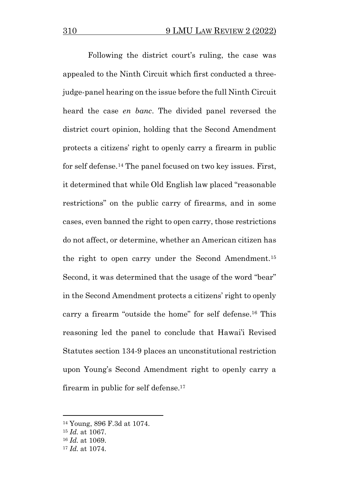Following the district court's ruling, the case was appealed to the Ninth Circuit which first conducted a threejudge-panel hearing on the issue before the full Ninth Circuit heard the case *en banc*. The divided panel reversed the district court opinion, holding that the Second Amendment protects a citizens' right to openly carry a firearm in public for self defense.<sup>14</sup> The panel focused on two key issues. First, it determined that while Old English law placed "reasonable restrictions" on the public carry of firearms, and in some cases, even banned the right to open carry, those restrictions do not affect, or determine, whether an American citizen has the right to open carry under the Second Amendment.<sup>15</sup> Second, it was determined that the usage of the word "bear" in the Second Amendment protects a citizens' right to openly carry a firearm "outside the home" for self defense.<sup>16</sup> This reasoning led the panel to conclude that Hawai'i Revised Statutes section 134-9 places an unconstitutional restriction upon Young's Second Amendment right to openly carry a firearm in public for self defense.<sup>17</sup>

<sup>14</sup> Young, 896 F.3d at 1074.

<sup>15</sup> *Id.* at 1067.

<sup>16</sup> *Id.* at 1069.

<sup>17</sup> *Id.* at 1074.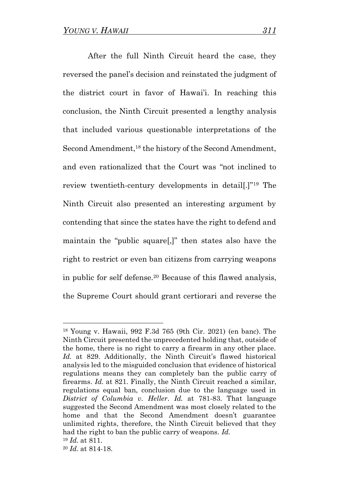After the full Ninth Circuit heard the case, they reversed the panel's decision and reinstated the judgment of the district court in favor of Hawai'i. In reaching this conclusion, the Ninth Circuit presented a lengthy analysis that included various questionable interpretations of the Second Amendment,<sup>18</sup> the history of the Second Amendment, and even rationalized that the Court was "not inclined to review twentieth-century developments in detail[.]"<sup>19</sup> The Ninth Circuit also presented an interesting argument by contending that since the states have the right to defend and maintain the "public square[,]" then states also have the right to restrict or even ban citizens from carrying weapons in public for self defense.<sup>20</sup> Because of this flawed analysis, the Supreme Court should grant certiorari and reverse the

<sup>18</sup> Young v. Hawaii, 992 F.3d 765 (9th Cir. 2021) (en banc). The Ninth Circuit presented the unprecedented holding that, outside of the home, there is no right to carry a firearm in any other place. *Id.* at 829. Additionally, the Ninth Circuit's flawed historical analysis led to the misguided conclusion that evidence of historical regulations means they can completely ban the public carry of firearms. *Id.* at 821. Finally, the Ninth Circuit reached a similar, regulations equal ban, conclusion due to the language used in *District of Columbia v. Heller*. *Id.* at 781-83. That language suggested the Second Amendment was most closely related to the home and that the Second Amendment doesn't guarantee unlimited rights, therefore, the Ninth Circuit believed that they had the right to ban the public carry of weapons. *Id.*  <sup>19</sup> *Id.* at 811.

<sup>20</sup> *Id.* at 814-18.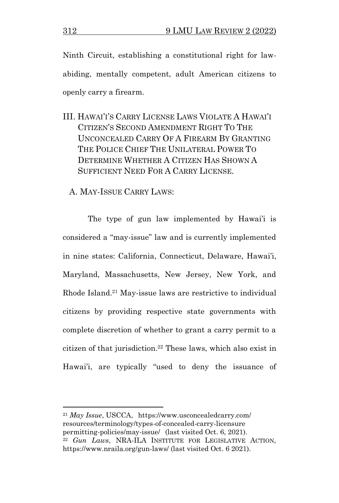Ninth Circuit, establishing a constitutional right for lawabiding, mentally competent, adult American citizens to openly carry a firearm.

- III. HAWAI'I'S CARRY LICENSE LAWS VIOLATE A HAWAI'I CITIZEN'S SECOND AMENDMENT RIGHT TO THE UNCONCEALED CARRY OF A FIREARM BY GRANTING THE POLICE CHIEF THE UNILATERAL POWER TO DETERMINE WHETHER A CITIZEN HAS SHOWN A SUFFICIENT NEED FOR A CARRY LICENSE.
	- A. MAY-ISSUE CARRY LAWS:

The type of gun law implemented by Hawai'i is considered a "may-issue" law and is currently implemented in nine states: California, Connecticut, Delaware, Hawai'i, Maryland, Massachusetts, New Jersey, New York, and Rhode Island.<sup>21</sup> May-issue laws are restrictive to individual citizens by providing respective state governments with complete discretion of whether to grant a carry permit to a citizen of that jurisdiction. <sup>22</sup> These laws, which also exist in Hawai'i, are typically "used to deny the issuance of

<sup>21</sup> *May Issue*, USCCA, https://www.usconcealedcarry.com/ resources/terminology/types-of-concealed-carry-licensure permitting-policies/may-issue/ (last visited Oct. 6, 2021). <sup>22</sup> *Gun Laws*, NRA-ILA INSTITUTE FOR LEGISLATIVE ACTION, https://www.nraila.org/gun-laws/ (last visited Oct. 6 2021).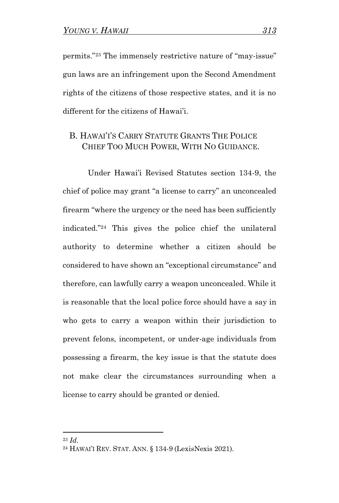permits."<sup>23</sup> The immensely restrictive nature of "may-issue" gun laws are an infringement upon the Second Amendment rights of the citizens of those respective states, and it is no different for the citizens of Hawai'i.

### B. HAWAI'I'S CARRY STATUTE GRANTS THE POLICE CHIEF TOO MUCH POWER, WITH NO GUIDANCE.

Under Hawai'i Revised Statutes section 134-9, the chief of police may grant "a license to carry" an unconcealed firearm "where the urgency or the need has been sufficiently indicated."<sup>24</sup> This gives the police chief the unilateral authority to determine whether a citizen should be considered to have shown an "exceptional circumstance" and therefore, can lawfully carry a weapon unconcealed. While it is reasonable that the local police force should have a say in who gets to carry a weapon within their jurisdiction to prevent felons, incompetent, or under-age individuals from possessing a firearm, the key issue is that the statute does not make clear the circumstances surrounding when a license to carry should be granted or denied.

<sup>24</sup> HAWAI'I REV. STAT. ANN. § 134-9 (LexisNexis 2021).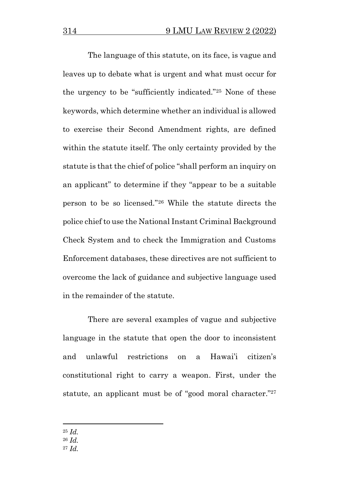The language of this statute, on its face, is vague and leaves up to debate what is urgent and what must occur for the urgency to be "sufficiently indicated."<sup>25</sup> None of these keywords, which determine whether an individual is allowed to exercise their Second Amendment rights, are defined within the statute itself. The only certainty provided by the statute is that the chief of police "shall perform an inquiry on an applicant" to determine if they "appear to be a suitable person to be so licensed."<sup>26</sup> While the statute directs the police chief to use the National Instant Criminal Background Check System and to check the Immigration and Customs Enforcement databases, these directives are not sufficient to overcome the lack of guidance and subjective language used in the remainder of the statute.

There are several examples of vague and subjective language in the statute that open the door to inconsistent and unlawful restrictions on a Hawai'i citizen's constitutional right to carry a weapon. First, under the statute, an applicant must be of "good moral character."<sup>27</sup>

<sup>25</sup> *Id.*

<sup>27</sup> *Id.*

<sup>26</sup> *Id.*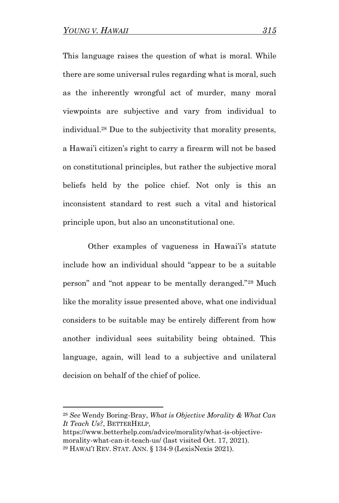This language raises the question of what is moral. While there are some universal rules regarding what is moral, such as the inherently wrongful act of murder, many moral viewpoints are subjective and vary from individual to individual.<sup>28</sup> Due to the subjectivity that morality presents, a Hawai'i citizen's right to carry a firearm will not be based on constitutional principles, but rather the subjective moral beliefs held by the police chief. Not only is this an inconsistent standard to rest such a vital and historical principle upon, but also an unconstitutional one.

Other examples of vagueness in Hawai'i's statute include how an individual should "appear to be a suitable person" and "not appear to be mentally deranged."<sup>29</sup> Much like the morality issue presented above, what one individual considers to be suitable may be entirely different from how another individual sees suitability being obtained. This language, again, will lead to a subjective and unilateral decision on behalf of the chief of police.

<sup>28</sup> *See* Wendy Boring-Bray, *What is Objective Morality & What Can It Teach Us?*, BETTERHELP,

https://www.betterhelp.com/advice/morality/what-is-objectivemorality-what-can-it-teach-us/ (last visited Oct. 17, 2021). <sup>29</sup> HAWAI'I REV. STAT. ANN. § 134-9 (LexisNexis 2021).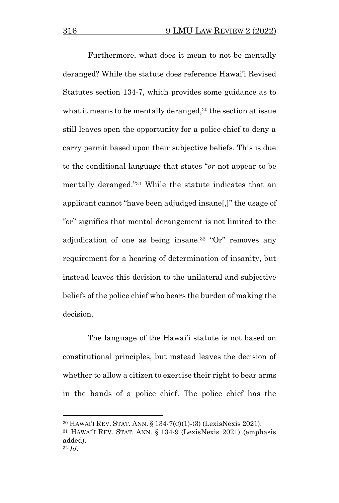Furthermore, what does it mean to not be mentally deranged? While the statute does reference Hawai'i Revised Statutes section 134-7, which provides some guidance as to what it means to be mentally deranged, <sup>30</sup> the section at issue still leaves open the opportunity for a police chief to deny a carry permit based upon their subjective beliefs. This is due to the conditional language that states "*or* not appear to be mentally deranged."<sup>31</sup> While the statute indicates that an applicant cannot "have been adjudged insane[,]" the usage of "or" signifies that mental derangement is not limited to the adjudication of one as being insane. <sup>32</sup> "Or" removes any requirement for a hearing of determination of insanity, but instead leaves this decision to the unilateral and subjective beliefs of the police chief who bears the burden of making the decision.

The language of the Hawai'i statute is not based on constitutional principles, but instead leaves the decision of whether to allow a citizen to exercise their right to bear arms in the hands of a police chief. The police chief has the

<sup>30</sup> HAWAI'I REV. STAT. ANN. § 134-7(C)(1)-(3) (LexisNexis 2021).

<sup>31</sup> HAWAI'I REV. STAT. ANN. § 134-9 (LexisNexis 2021) (emphasis added). <sup>32</sup> *Id.*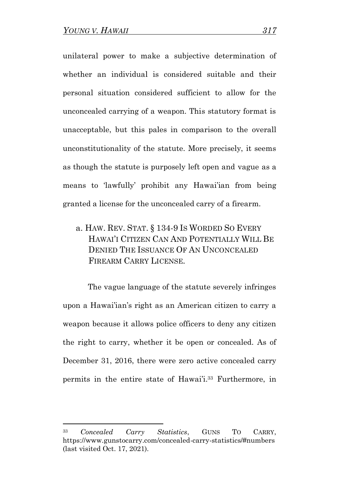unilateral power to make a subjective determination of whether an individual is considered suitable and their personal situation considered sufficient to allow for the unconcealed carrying of a weapon. This statutory format is unacceptable, but this pales in comparison to the overall unconstitutionality of the statute. More precisely, it seems as though the statute is purposely left open and vague as a means to 'lawfully' prohibit any Hawai'ian from being granted a license for the unconcealed carry of a firearm.

a. HAW. REV. STAT. § 134-9 IS WORDED SO EVERY HAWAI'I CITIZEN CAN AND POTENTIALLY WILL BE DENIED THE ISSUANCE OF AN UNCONCEALED FIREARM CARRY LICENSE.

The vague language of the statute severely infringes upon a Hawai'ian's right as an American citizen to carry a weapon because it allows police officers to deny any citizen the right to carry, whether it be open or concealed. As of December 31, 2016, there were zero active concealed carry permits in the entire state of Hawai'i. <sup>33</sup> Furthermore, in

<sup>33</sup> *Concealed Carry Statistics*, GUNS TO CARRY, https://www.gunstocarry.com/concealed-carry-statistics/#numbers (last visited Oct. 17, 2021).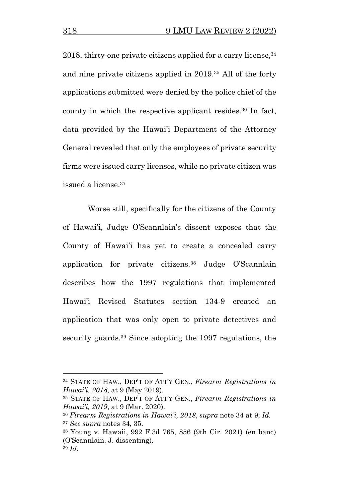2018, thirty-one private citizens applied for a carry license, <sup>34</sup> and nine private citizens applied in 2019.<sup>35</sup> All of the forty applications submitted were denied by the police chief of the county in which the respective applicant resides. <sup>36</sup> In fact, data provided by the Hawai'i Department of the Attorney General revealed that only the employees of private security firms were issued carry licenses, while no private citizen was issued a license. 37

Worse still, specifically for the citizens of the County of Hawai'i, Judge O'Scannlain's dissent exposes that the County of Hawai'i has yet to create a concealed carry application for private citizens.<sup>38</sup> Judge O'Scannlain describes how the 1997 regulations that implemented Hawai'i Revised Statutes section 134-9 created an application that was only open to private detectives and security guards.<sup>39</sup> Since adopting the 1997 regulations, the

<sup>34</sup> STATE OF HAW., DEP'T OF ATT'Y GEN., *Firearm Registrations in Hawai'i, 2018*, at 9 (May 2019).

<sup>35</sup> STATE OF HAW., DEP'T OF ATT'Y GEN., *Firearm Registrations in Hawai'i, 2019*, at 9 (Mar. 2020).

<sup>36</sup> *Firearm Registrations in Hawai'i, 2018*, *supra* note 34 at 9; *Id.* <sup>37</sup> *See supra* notes 34, 35.

<sup>38</sup> Young v. Hawaii, 992 F.3d 765, 856 (9th Cir. 2021) (en banc) (O'Scannlain, J. dissenting). <sup>39</sup> *Id.*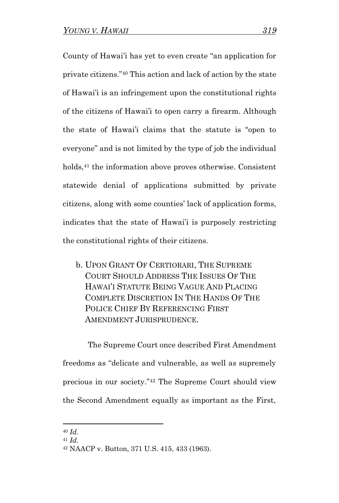County of Hawai'i has yet to even create "an application for private citizens."<sup>40</sup> This action and lack of action by the state of Hawai'i is an infringement upon the constitutional rights of the citizens of Hawai'i to open carry a firearm. Although the state of Hawai'i claims that the statute is "open to everyone" and is not limited by the type of job the individual holds,<sup>41</sup> the information above proves otherwise. Consistent statewide denial of applications submitted by private citizens, along with some counties' lack of application forms, indicates that the state of Hawai'i is purposely restricting the constitutional rights of their citizens.

b. UPON GRANT OF CERTIORARI, THE SUPREME COURT SHOULD ADDRESS THE ISSUES OF THE HAWAI'I STATUTE BEING VAGUE AND PLACING COMPLETE DISCRETION IN THE HANDS OF THE POLICE CHIEF BY REFERENCING FIRST AMENDMENT JURISPRUDENCE.

The Supreme Court once described First Amendment freedoms as "delicate and vulnerable, as well as supremely precious in our society."<sup>42</sup> The Supreme Court should view the Second Amendment equally as important as the First,

<sup>40</sup> *Id.*

<sup>41</sup> *Id.*

<sup>42</sup> NAACP v. Button, 371 U.S. 415, 433 (1963).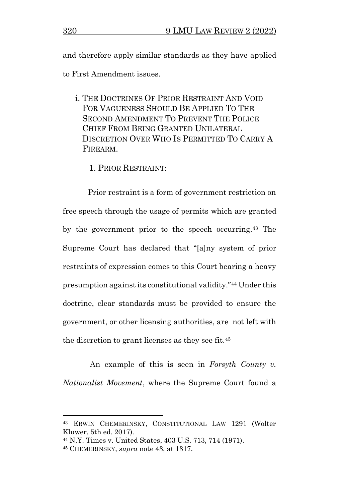and therefore apply similar standards as they have applied to First Amendment issues.

- i. THE DOCTRINES OF PRIOR RESTRAINT AND VOID FOR VAGUENESS SHOULD BE APPLIED TO THE SECOND AMENDMENT TO PREVENT THE POLICE CHIEF FROM BEING GRANTED UNILATERAL DISCRETION OVER WHO IS PERMITTED TO CARRY A FIREARM.
	- 1. PRIOR RESTRAINT:

Prior restraint is a form of government restriction on free speech through the usage of permits which are granted by the government prior to the speech occurring.<sup>43</sup> The Supreme Court has declared that "[a]ny system of prior restraints of expression comes to this Court bearing a heavy presumption against its constitutional validity."<sup>44</sup> Under this doctrine, clear standards must be provided to ensure the government, or other licensing authorities, are not left with the discretion to grant licenses as they see fit.<sup>45</sup>

An example of this is seen in *Forsyth County v. Nationalist Movement*, where the Supreme Court found a

<sup>43</sup> ERWIN CHEMERINSKY, CONSTITUTIONAL LAW 1291 (Wolter Kluwer, 5th ed. 2017).

<sup>44</sup> N.Y. Times v. United States, 403 U.S. 713, 714 (1971).

<sup>45</sup> CHEMERINSKY, *supra* note 43, at 1317.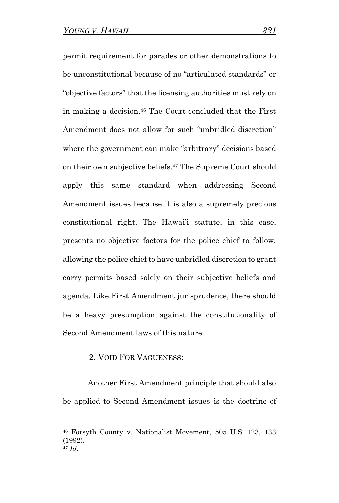permit requirement for parades or other demonstrations to be unconstitutional because of no "articulated standards" or "objective factors" that the licensing authorities must rely on in making a decision. <sup>46</sup> The Court concluded that the First Amendment does not allow for such "unbridled discretion" where the government can make "arbitrary" decisions based on their own subjective beliefs. <sup>47</sup> The Supreme Court should apply this same standard when addressing Second Amendment issues because it is also a supremely precious constitutional right. The Hawai'i statute, in this case, presents no objective factors for the police chief to follow, allowing the police chief to have unbridled discretion to grant carry permits based solely on their subjective beliefs and agenda. Like First Amendment jurisprudence, there should be a heavy presumption against the constitutionality of Second Amendment laws of this nature.

#### 2. VOID FOR VAGUENESS:

Another First Amendment principle that should also be applied to Second Amendment issues is the doctrine of

<sup>46</sup> Forsyth County v. Nationalist Movement, 505 U.S. 123, 133 (1992). <sup>47</sup> *Id.*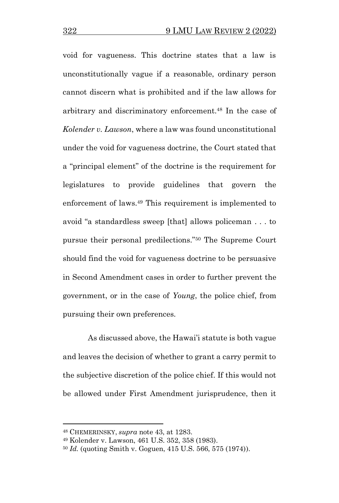void for vagueness. This doctrine states that a law is unconstitutionally vague if a reasonable, ordinary person cannot discern what is prohibited and if the law allows for arbitrary and discriminatory enforcement.<sup>48</sup> In the case of *Kolender v. Lawson*, where a law was found unconstitutional under the void for vagueness doctrine, the Court stated that a "principal element" of the doctrine is the requirement for legislatures to provide guidelines that govern the enforcement of laws.<sup>49</sup> This requirement is implemented to avoid "a standardless sweep [that] allows policeman . . . to pursue their personal predilections."<sup>50</sup> The Supreme Court should find the void for vagueness doctrine to be persuasive in Second Amendment cases in order to further prevent the government, or in the case of *Young*, the police chief, from pursuing their own preferences.

As discussed above, the Hawai'i statute is both vague and leaves the decision of whether to grant a carry permit to the subjective discretion of the police chief. If this would not be allowed under First Amendment jurisprudence, then it

<sup>48</sup> CHEMERINSKY, *supra* note 43, at 1283.

<sup>49</sup> Kolender v. Lawson, 461 U.S. 352, 358 (1983).

<sup>50</sup> *Id.* (quoting Smith v. Goguen, 415 U.S. 566, 575 (1974)).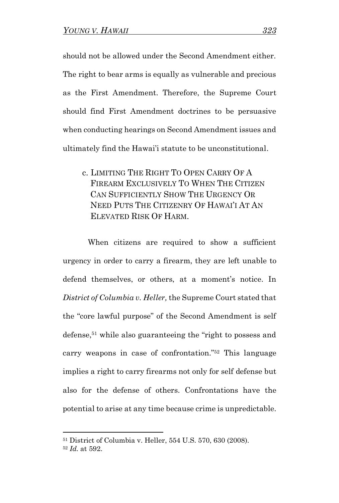should not be allowed under the Second Amendment either. The right to bear arms is equally as vulnerable and precious as the First Amendment. Therefore, the Supreme Court should find First Amendment doctrines to be persuasive when conducting hearings on Second Amendment issues and ultimately find the Hawai'i statute to be unconstitutional.

c. LIMITING THE RIGHT TO OPEN CARRY OF A FIREARM EXCLUSIVELY TO WHEN THE CITIZEN CAN SUFFICIENTLY SHOW THE URGENCY OR NEED PUTS THE CITIZENRY OF HAWAI'I AT AN ELEVATED RISK OF HARM.

When citizens are required to show a sufficient urgency in order to carry a firearm, they are left unable to defend themselves, or others, at a moment's notice. In *District of Columbia v. Heller,* the Supreme Court stated that the "core lawful purpose" of the Second Amendment is self defense, <sup>51</sup> while also guaranteeing the "right to possess and carry weapons in case of confrontation."<sup>52</sup> This language implies a right to carry firearms not only for self defense but also for the defense of others. Confrontations have the potential to arise at any time because crime is unpredictable.

<sup>51</sup> District of Columbia v. Heller, 554 U.S. 570, 630 (2008).

<sup>52</sup> *Id.* at 592.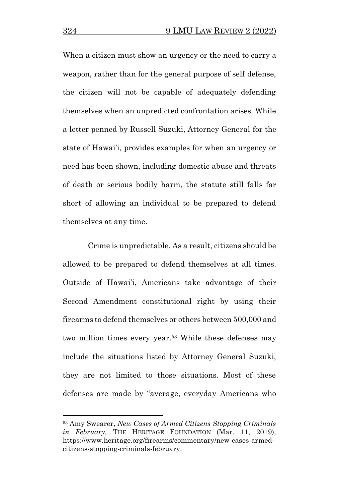When a citizen must show an urgency or the need to carry a weapon, rather than for the general purpose of self defense, the citizen will not be capable of adequately defending themselves when an unpredicted confrontation arises. While a letter penned by Russell Suzuki, Attorney General for the state of Hawai'i, provides examples for when an urgency or need has been shown, including domestic abuse and threats of death or serious bodily harm, the statute still falls far short of allowing an individual to be prepared to defend themselves at any time.

Crime is unpredictable. As a result, citizens should be allowed to be prepared to defend themselves at all times. Outside of Hawai'i, Americans take advantage of their Second Amendment constitutional right by using their firearms to defend themselves or others between 500,000 and two million times every year.<sup>53</sup> While these defenses may include the situations listed by Attorney General Suzuki, they are not limited to those situations. Most of these defenses are made by "average, everyday Americans who

<sup>53</sup> Amy Swearer, *New Cases of Armed Citizens Stopping Criminals in February*, THE HERITAGE FOUNDATION (Mar. 11, 2019), https://www.heritage.org/firearms/commentary/new-cases-armedcitizens-stopping-criminals-february.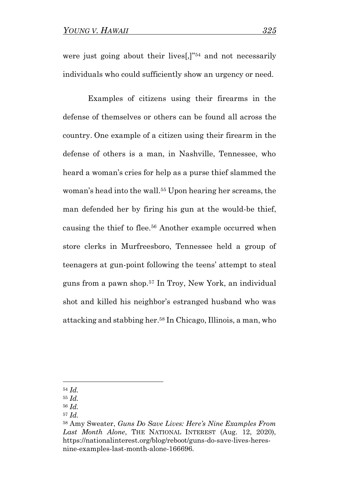were just going about their lives[,]"<sup>54</sup> and not necessarily individuals who could sufficiently show an urgency or need.

Examples of citizens using their firearms in the defense of themselves or others can be found all across the country. One example of a citizen using their firearm in the defense of others is a man, in Nashville, Tennessee, who heard a woman's cries for help as a purse thief slammed the woman's head into the wall.<sup>55</sup> Upon hearing her screams, the man defended her by firing his gun at the would-be thief, causing the thief to flee.<sup>56</sup> Another example occurred when store clerks in Murfreesboro, Tennessee held a group of teenagers at gun-point following the teens' attempt to steal guns from a pawn shop.<sup>57</sup> In Troy, New York, an individual shot and killed his neighbor's estranged husband who was attacking and stabbing her.<sup>58</sup> In Chicago, Illinois, a man, who

<sup>54</sup> *Id.*

<sup>55</sup> *Id.*

<sup>56</sup> *Id.*

<sup>57</sup> *Id.*

<sup>58</sup> Amy Sweater, *Guns Do Save Lives: Here's Nine Examples From Last Month Alone*, THE NATIONAL INTEREST (Aug. 12, 2020), https://nationalinterest.org/blog/reboot/guns-do-save-lives-heresnine-examples-last-month-alone-166696.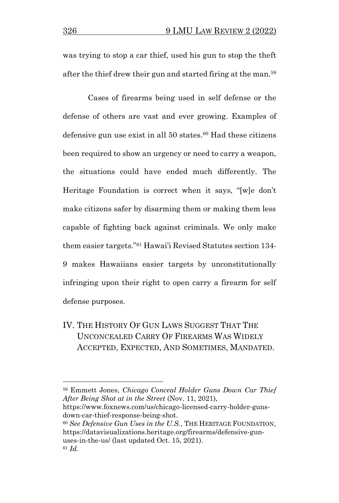was trying to stop a car thief, used his gun to stop the theft after the thief drew their gun and started firing at the man.<sup>59</sup>

Cases of firearms being used in self defense or the defense of others are vast and ever growing. Examples of defensive gun use exist in all  $50$  states.<sup>60</sup> Had these citizens been required to show an urgency or need to carry a weapon, the situations could have ended much differently. The Heritage Foundation is correct when it says, "[w]e don't make citizens safer by disarming them or making them less capable of fighting back against criminals. We only make them easier targets."<sup>61</sup> Hawai'i Revised Statutes section 134- 9 makes Hawaiians easier targets by unconstitutionally infringing upon their right to open carry a firearm for self defense purposes.

IV. THE HISTORY OF GUN LAWS SUGGEST THAT THE UNCONCEALED CARRY OF FIREARMS WAS WIDELY ACCEPTED, EXPECTED, AND SOMETIMES, MANDATED.

<sup>59</sup> Emmett Jones, *Chicago Conceal Holder Guns Down Car Thief After Being Shot at in the Street* (Nov. 11, 2021),

https://www.foxnews.com/us/chicago-licensed-carry-holder-gunsdown-car-thief-response-being-shot.

<sup>60</sup> *See Defensive Gun Uses in the U.S.*, THE HERITAGE FOUNDATION, https://datavisualizations.heritage.org/firearms/defensive-gunuses-in-the-us/ (last updated Oct. 15, 2021). <sup>61</sup> *Id.*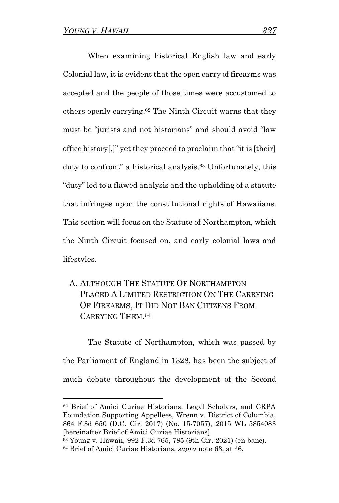When examining historical English law and early Colonial law, it is evident that the open carry of firearms was accepted and the people of those times were accustomed to others openly carrying.<sup>62</sup> The Ninth Circuit warns that they must be "jurists and not historians" and should avoid "law office history[,]" yet they proceed to proclaim that "it is [their] duty to confront" a historical analysis.<sup>63</sup> Unfortunately, this "duty" led to a flawed analysis and the upholding of a statute that infringes upon the constitutional rights of Hawaiians. This section will focus on the Statute of Northampton, which the Ninth Circuit focused on, and early colonial laws and lifestyles.

A. ALTHOUGH THE STATUTE OF NORTHAMPTON PLACED A LIMITED RESTRICTION ON THE CARRYING OF FIREARMS, IT DID NOT BAN CITIZENS FROM CARRYING THEM. 64

The Statute of Northampton, which was passed by the Parliament of England in 1328, has been the subject of much debate throughout the development of the Second

<sup>62</sup> Brief of Amici Curiae Historians, Legal Scholars, and CRPA Foundation Supporting Appellees, Wrenn v. District of Columbia, 864 F.3d 650 (D.C. Cir. 2017) (No. 15-7057), 2015 WL 5854083 [hereinafter Brief of Amici Curiae Historians].

<sup>63</sup> Young v. Hawaii, 992 F.3d 765, 785 (9th Cir. 2021) (en banc). <sup>64</sup> Brief of Amici Curiae Historians, *supra* note 63, at \*6.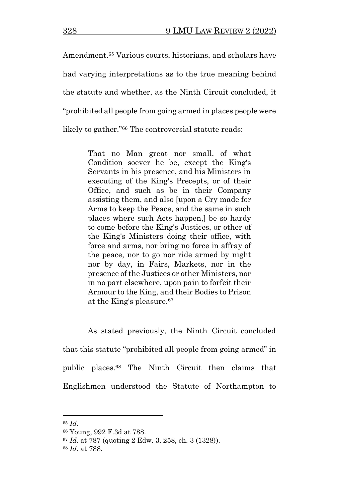Amendment.<sup>65</sup> Various courts, historians, and scholars have had varying interpretations as to the true meaning behind the statute and whether, as the Ninth Circuit concluded, it "prohibited all people from going armed in places people were likely to gather."<sup>66</sup> The controversial statute reads:

> That no Man great nor small, of what Condition soever he be, except the King's Servants in his presence, and his Ministers in executing of the King's Precepts, or of their Office, and such as be in their Company assisting them, and also [upon a Cry made for Arms to keep the Peace, and the same in such places where such Acts happen,] be so hardy to come before the King's Justices, or other of the King's Ministers doing their office, with force and arms, nor bring no force in affray of the peace, nor to go nor ride armed by night nor by day, in Fairs, Markets, nor in the presence of the Justices or other Ministers, nor in no part elsewhere, upon pain to forfeit their Armour to the King, and their Bodies to Prison at the King's pleasure.<sup>67</sup>

As stated previously, the Ninth Circuit concluded that this statute "prohibited all people from going armed" in public places.<sup>68</sup> The Ninth Circuit then claims that Englishmen understood the Statute of Northampton to

<sup>65</sup> *Id.* 

<sup>66</sup> Young, 992 F.3d at 788.

<sup>67</sup> *Id.* at 787 (quoting 2 Edw. 3, 258, ch. 3 (1328)).

<sup>68</sup> *Id.* at 788.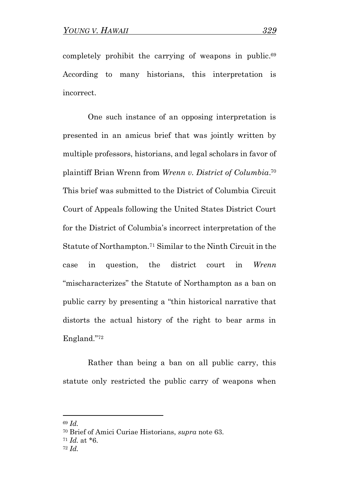completely prohibit the carrying of weapons in public.<sup>69</sup> According to many historians, this interpretation is incorrect.

One such instance of an opposing interpretation is presented in an amicus brief that was jointly written by multiple professors, historians, and legal scholars in favor of plaintiff Brian Wrenn from *Wrenn v. District of Columbia*. 70 This brief was submitted to the District of Columbia Circuit Court of Appeals following the United States District Court for the District of Columbia's incorrect interpretation of the Statute of Northampton.<sup>71</sup> Similar to the Ninth Circuit in the case in question, the district court in *Wrenn* "mischaracterizes" the Statute of Northampton as a ban on public carry by presenting a "thin historical narrative that distorts the actual history of the right to bear arms in England."<sup>72</sup>

Rather than being a ban on all public carry, this statute only restricted the public carry of weapons when

<sup>72</sup> *Id.*

<sup>69</sup> *Id.* 

<sup>70</sup> Brief of Amici Curiae Historians, *supra* note 63.

 $71$  *Id.* at  $*6$ .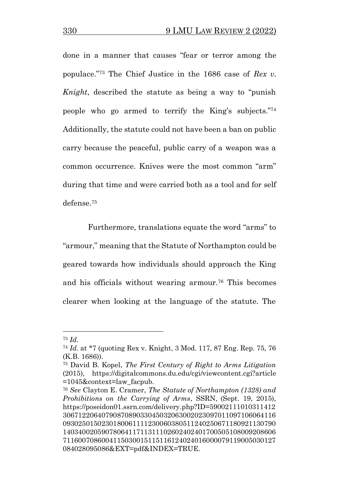done in a manner that causes "fear or terror among the populace."<sup>73</sup> The Chief Justice in the 1686 case of *Rex v. Knight*, described the statute as being a way to "punish people who go armed to terrify the King's subjects."<sup>74</sup> Additionally, the statute could not have been a ban on public carry because the peaceful, public carry of a weapon was a common occurrence. Knives were the most common "arm" during that time and were carried both as a tool and for self defense.<sup>75</sup>

Furthermore, translations equate the word "arms" to "armour," meaning that the Statute of Northampton could be geared towards how individuals should approach the King and his officials without wearing armour.<sup>76</sup> This becomes clearer when looking at the language of the statute. The

<sup>73</sup> *Id.* 

<sup>74</sup> *Id.* at \*7 (quoting Rex v. Knight, 3 Mod. 117, 87 Eng. Rep. 75, 76 (K.B. 1686)).

<sup>75</sup> David B. Kopel, *The First Century of Right to Arms Litigation* (2015), https://digitalcommons.du.edu/cgi/viewcontent.cgi?article =1045&context=law\_facpub.

<sup>76</sup> *See* Clayton E. Cramer, *The Statute of Northampton (1328) and Prohibitions on the Carrying of Arms*, SSRN, (Sept. 19, 2015), https://poseidon01.ssrn.com/delivery.php?ID=59002111010311412 3067122064079087089033045032063002023097011097106064116 0930250150230180061111230060380511240250671180921130790 1403400205907806411711311102602402401700505108009208606 7116007086004115030015115116124024016000079119005030127 084028095086&EXT=pdf&INDEX=TRUE.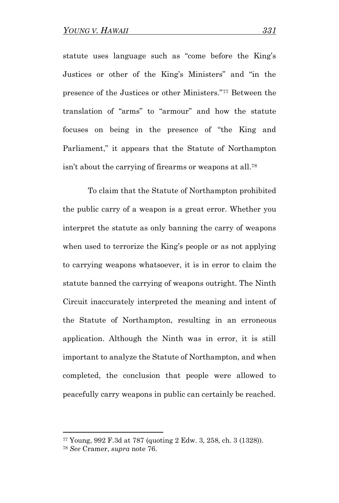statute uses language such as "come before the King's Justices or other of the King's Ministers" and "in the presence of the Justices or other Ministers."<sup>77</sup> Between the translation of "arms" to "armour" and how the statute focuses on being in the presence of "the King and Parliament," it appears that the Statute of Northampton isn't about the carrying of firearms or weapons at all.<sup>78</sup>

To claim that the Statute of Northampton prohibited the public carry of a weapon is a great error. Whether you interpret the statute as only banning the carry of weapons when used to terrorize the King's people or as not applying to carrying weapons whatsoever, it is in error to claim the statute banned the carrying of weapons outright. The Ninth Circuit inaccurately interpreted the meaning and intent of the Statute of Northampton, resulting in an erroneous application. Although the Ninth was in error, it is still important to analyze the Statute of Northampton, and when completed, the conclusion that people were allowed to peacefully carry weapons in public can certainly be reached.

<sup>77</sup> Young, 992 F.3d at 787 (quoting 2 Edw. 3, 258, ch. 3 (1328)).

<sup>78</sup> *See* Cramer, *supra* note 76.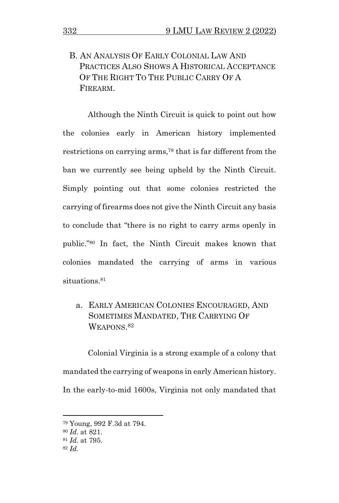## B. AN ANALYSIS OF EARLY COLONIAL LAW AND PRACTICES ALSO SHOWS A HISTORICAL ACCEPTANCE OF THE RIGHT TO THE PUBLIC CARRY OF A FIREARM.

Although the Ninth Circuit is quick to point out how the colonies early in American history implemented restrictions on carrying arms,<sup>79</sup> that is far different from the ban we currently see being upheld by the Ninth Circuit. Simply pointing out that some colonies restricted the carrying of firearms does not give the Ninth Circuit any basis to conclude that "there is no right to carry arms openly in public."<sup>80</sup> In fact, the Ninth Circuit makes known that colonies mandated the carrying of arms in various situations.<sup>81</sup>

a. EARLY AMERICAN COLONIES ENCOURAGED, AND SOMETIMES MANDATED, THE CARRYING OF WEAPONS. 82

Colonial Virginia is a strong example of a colony that mandated the carrying of weapons in early American history. In the early-to-mid 1600s, Virginia not only mandated that

<sup>79</sup> Young, 992 F.3d at 794.

<sup>80</sup> *Id.* at 821.

<sup>81</sup> *Id.* at 795.

<sup>82</sup> *Id.*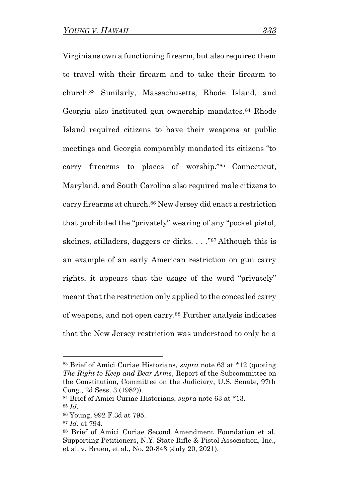Virginians own a functioning firearm, but also required them to travel with their firearm and to take their firearm to church.<sup>83</sup> Similarly, Massachusetts, Rhode Island, and Georgia also instituted gun ownership mandates. <sup>84</sup> Rhode Island required citizens to have their weapons at public meetings and Georgia comparably mandated its citizens "to carry firearms to places of worship."<sup>85</sup> Connecticut, Maryland, and South Carolina also required male citizens to carry firearms at church.<sup>86</sup> New Jersey did enact a restriction that prohibited the "privately" wearing of any "pocket pistol, skeines, stilladers, daggers or dirks. . . ."<sup>87</sup> Although this is an example of an early American restriction on gun carry rights, it appears that the usage of the word "privately" meant that the restriction only applied to the concealed carry of weapons, and not open carry.<sup>88</sup> Further analysis indicates that the New Jersey restriction was understood to only be a

<sup>83</sup> Brief of Amici Curiae Historians, *supra* note 63 at \*12 (quoting *The Right to Keep and Bear Arms*, Report of the Subcommittee on the Constitution, Committee on the Judiciary, U.S. Senate, 97th Cong., 2d Sess. 3 (1982)).

<sup>84</sup> Brief of Amici Curiae Historians, *supra* note 63 at \*13. <sup>85</sup> *Id.* 

<sup>86</sup> Young, 992 F.3d at 795.

<sup>87</sup> *Id.* at 794.

<sup>88</sup> Brief of Amici Curiae Second Amendment Foundation et al. Supporting Petitioners, N.Y. State Rifle & Pistol Association, Inc., et al. v. Bruen, et al., No. 20-843 (July 20, 2021).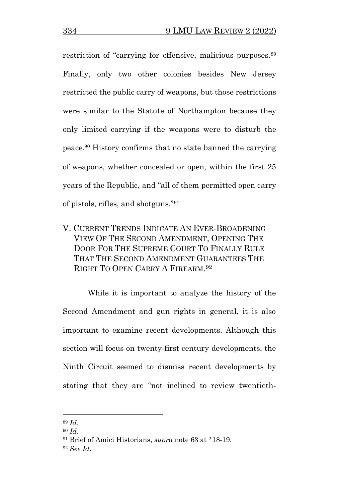restriction of "carrying for offensive, malicious purposes.<sup>89</sup> Finally, only two other colonies besides New Jersey restricted the public carry of weapons, but those restrictions were similar to the Statute of Northampton because they only limited carrying if the weapons were to disturb the peace. <sup>90</sup> History confirms that no state banned the carrying of weapons, whether concealed or open, within the first 25 years of the Republic, and "all of them permitted open carry of pistols, rifles, and shotguns."<sup>91</sup>

V. CURRENT TRENDS INDICATE AN EVER-BROADENING VIEW OF THE SECOND AMENDMENT, OPENING THE DOOR FOR THE SUPREME COURT TO FINALLY RULE THAT THE SECOND AMENDMENT GUARANTEES THE RIGHT TO OPEN CARRY A FIREARM. 92

While it is important to analyze the history of the Second Amendment and gun rights in general, it is also important to examine recent developments. Although this section will focus on twenty-first century developments, the Ninth Circuit seemed to dismiss recent developments by stating that they are "not inclined to review twentieth-

<sup>89</sup> *Id.*

<sup>90</sup> *Id.*

<sup>91</sup> Brief of Amici Historians, *supra* note 63 at \*18-19.

<sup>92</sup> *See Id*.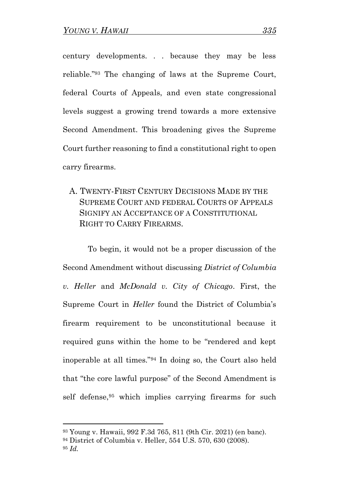century developments. . . because they may be less reliable."<sup>93</sup> The changing of laws at the Supreme Court, federal Courts of Appeals, and even state congressional levels suggest a growing trend towards a more extensive Second Amendment. This broadening gives the Supreme Court further reasoning to find a constitutional right to open carry firearms.

A. TWENTY-FIRST CENTURY DECISIONS MADE BY THE SUPREME COURT AND FEDERAL COURTS OF APPEALS SIGNIFY AN ACCEPTANCE OF A CONSTITUTIONAL RIGHT TO CARRY FIREARMS.

To begin, it would not be a proper discussion of the Second Amendment without discussing *District of Columbia v. Heller* and *McDonald v. City of Chicago*. First, the Supreme Court in *Heller* found the District of Columbia's firearm requirement to be unconstitutional because it required guns within the home to be "rendered and kept inoperable at all times."<sup>94</sup> In doing so, the Court also held that "the core lawful purpose" of the Second Amendment is self defense, <sup>95</sup> which implies carrying firearms for such

<sup>93</sup> Young v. Hawaii, 992 F.3d 765, 811 (9th Cir. 2021) (en banc).

<sup>94</sup> District of Columbia v. Heller, 554 U.S. 570, 630 (2008).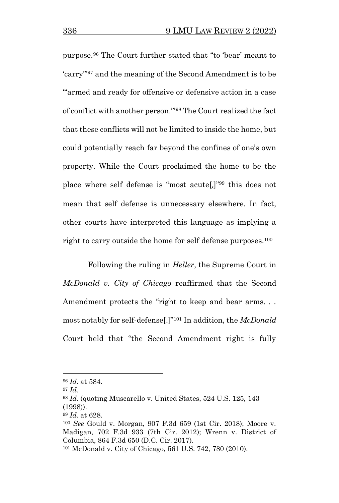purpose.<sup>96</sup> The Court further stated that "to 'bear' meant to 'carry'"<sup>97</sup> and the meaning of the Second Amendment is to be "'armed and ready for offensive or defensive action in a case of conflict with another person.'" <sup>98</sup> The Court realized the fact that these conflicts will not be limited to inside the home, but could potentially reach far beyond the confines of one's own property. While the Court proclaimed the home to be the place where self defense is "most acute[,]"<sup>99</sup> this does not mean that self defense is unnecessary elsewhere. In fact, other courts have interpreted this language as implying a right to carry outside the home for self defense purposes.<sup>100</sup>

Following the ruling in *Heller*, the Supreme Court in *McDonald v. City of Chicago* reaffirmed that the Second Amendment protects the "right to keep and bear arms... most notably for self-defense[.]"<sup>101</sup> In addition, the *McDonald*  Court held that "the Second Amendment right is fully

<sup>96</sup> *Id.* at 584.

 $^{97}$  *Id.* 

<sup>98</sup> *Id.* (quoting Muscarello v. United States, 524 U.S. 125, 143 (1998)).

<sup>99</sup> *Id.* at 628.

<sup>100</sup> *See* Gould v. Morgan, 907 F.3d 659 (1st Cir. 2018); Moore v. Madigan, 702 F.3d 933 (7th Cir. 2012); Wrenn v. District of Columbia, 864 F.3d 650 (D.C. Cir. 2017).

<sup>101</sup> McDonald v. City of Chicago, 561 U.S. 742, 780 (2010).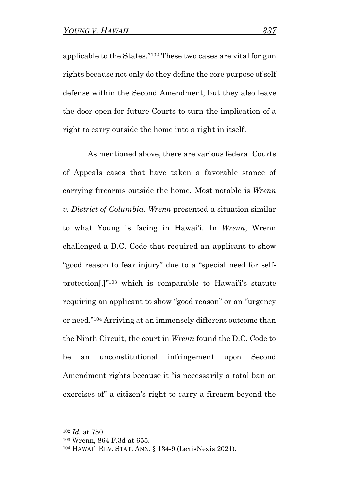applicable to the States."<sup>102</sup> These two cases are vital for gun rights because not only do they define the core purpose of self defense within the Second Amendment, but they also leave the door open for future Courts to turn the implication of a right to carry outside the home into a right in itself.

As mentioned above, there are various federal Courts of Appeals cases that have taken a favorable stance of carrying firearms outside the home. Most notable is *Wrenn v. District of Columbia. Wrenn* presented a situation similar to what Young is facing in Hawai'i. In *Wrenn*, Wrenn challenged a D.C. Code that required an applicant to show "good reason to fear injury" due to a "special need for selfprotection[,]"<sup>103</sup> which is comparable to Hawai'i's statute requiring an applicant to show "good reason" or an "urgency or need."<sup>104</sup> Arriving at an immensely different outcome than the Ninth Circuit, the court in *Wrenn* found the D.C. Code to be an unconstitutional infringement upon Second Amendment rights because it "is necessarily a total ban on exercises of" a citizen's right to carry a firearm beyond the

<sup>102</sup> *Id.* at 750.

<sup>103</sup> Wrenn, 864 F.3d at 655.

<sup>104</sup> HAWAI'I REV. STAT. ANN. § 134-9 (LexisNexis 2021).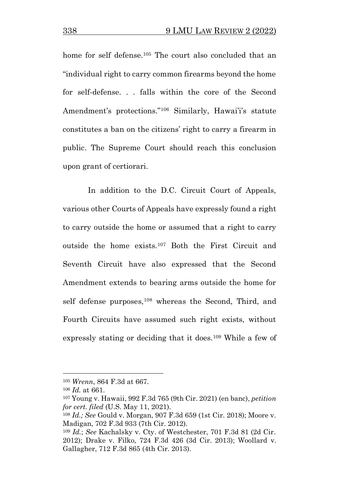home for self defense.<sup>105</sup> The court also concluded that an "individual right to carry common firearms beyond the home for self-defense. . . falls within the core of the Second Amendment's protections."<sup>106</sup> Similarly, Hawai'i's statute constitutes a ban on the citizens' right to carry a firearm in public. The Supreme Court should reach this conclusion upon grant of certiorari.

In addition to the D.C. Circuit Court of Appeals, various other Courts of Appeals have expressly found a right to carry outside the home or assumed that a right to carry outside the home exists.<sup>107</sup> Both the First Circuit and Seventh Circuit have also expressed that the Second Amendment extends to bearing arms outside the home for self defense purposes,<sup>108</sup> whereas the Second, Third, and Fourth Circuits have assumed such right exists, without expressly stating or deciding that it does.<sup>109</sup> While a few of

<sup>105</sup> *Wrenn*, 864 F.3d at 667.

<sup>106</sup> *Id.* at 661.

<sup>107</sup> Young v. Hawaii, 992 F.3d 765 (9th Cir. 2021) (en banc), *petition for cert. filed* (U.S. May 11, 2021).

<sup>108</sup> *Id.; See* Gould v. Morgan, 907 F.3d 659 (1st Cir. 2018); Moore v. Madigan, 702 F.3d 933 (7th Cir. 2012).

<sup>109</sup> *Id.*; *See* Kachalsky v. Cty. of Westchester, 701 F.3d 81 (2d Cir. 2012); Drake v. Filko, 724 F.3d 426 (3d Cir. 2013); Woollard v. Gallagher, 712 F.3d 865 (4th Cir. 2013).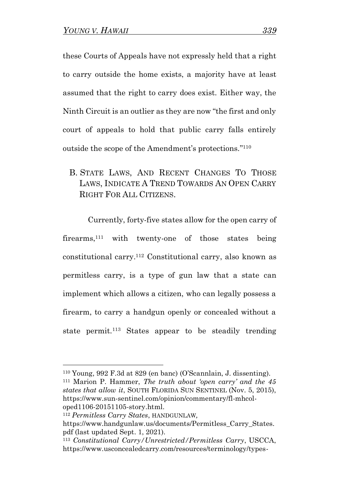these Courts of Appeals have not expressly held that a right to carry outside the home exists, a majority have at least assumed that the right to carry does exist. Either way, the Ninth Circuit is an outlier as they are now "the first and only court of appeals to hold that public carry falls entirely outside the scope of the Amendment's protections." 110

B. STATE LAWS, AND RECENT CHANGES TO THOSE LAWS, INDICATE A TREND TOWARDS AN OPEN CARRY RIGHT FOR ALL CITIZENS.

Currently, forty-five states allow for the open carry of firearms, <sup>111</sup> with twenty-one of those states being constitutional carry.<sup>112</sup> Constitutional carry, also known as permitless carry, is a type of gun law that a state can implement which allows a citizen, who can legally possess a firearm, to carry a handgun openly or concealed without a state permit.<sup>113</sup> States appear to be steadily trending

<sup>112</sup> *Permitless Carry States*, HANDGUNLAW*,*

<sup>110</sup> Young, 992 F.3d at 829 (en banc) (O'Scannlain, J. dissenting). <sup>111</sup> Marion P. Hammer, *The truth about 'open carry' and the 45 states that allow it*, SOUTH FLORIDA SUN SENTINEL (Nov. 5, 2015), https://www.sun-sentinel.com/opinion/commentary/fl-mhcoloped1106-20151105-story.html.

https://www.handgunlaw.us/documents/Permitless\_Carry\_States. pdf (last updated Sept. 1, 2021).

<sup>113</sup> *Constitutional Carry/Unrestricted/Permitless Carry*, USCCA, https://www.usconcealedcarry.com/resources/terminology/types-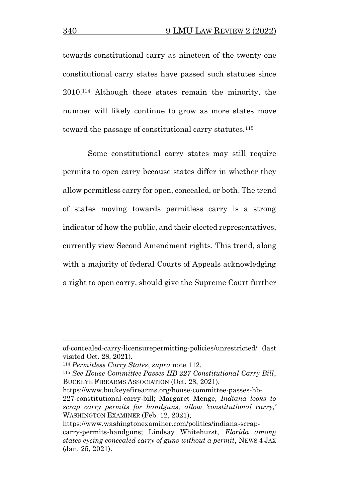towards constitutional carry as nineteen of the twenty-one constitutional carry states have passed such statutes since 2010.<sup>114</sup> Although these states remain the minority, the number will likely continue to grow as more states move toward the passage of constitutional carry statutes.<sup>115</sup>

Some constitutional carry states may still require permits to open carry because states differ in whether they allow permitless carry for open, concealed, or both. The trend of states moving towards permitless carry is a strong indicator of how the public, and their elected representatives, currently view Second Amendment rights. This trend, along with a majority of federal Courts of Appeals acknowledging a right to open carry, should give the Supreme Court further

https://www.buckeyefirearms.org/house-committee-passes-hb-227-constitutional-carry-bill; Margaret Menge, *Indiana looks to scrap carry permits for handguns, allow 'constitutional carry,'*  WASHINGTON EXAMINER (Feb. 12, 2021),

of-concealed-carry-licensurepermitting-policies/unrestricted/ (last visited Oct. 28, 2021).

<sup>114</sup> *Permitless Carry States*, *supra* note 112.

<sup>115</sup> *See House Committee Passes HB 227 Constitutional Carry Bill*, BUCKEYE FIREARMS ASSOCIATION (Oct. 28, 2021),

https://www.washingtonexaminer.com/politics/indiana-scrapcarry-permits-handguns; Lindsay Whitehurst, *Florida among states eyeing concealed carry of guns without a permit*, NEWS 4 JAX (Jan. 25, 2021).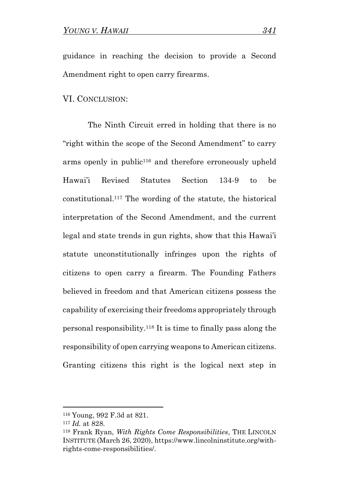guidance in reaching the decision to provide a Second Amendment right to open carry firearms.

#### VI. CONCLUSION:

The Ninth Circuit erred in holding that there is no "right within the scope of the Second Amendment" to carry arms openly in public<sup>116</sup> and therefore erroneously upheld Hawai'i Revised Statutes Section 134-9 to be constitutional.<sup>117</sup> The wording of the statute, the historical interpretation of the Second Amendment, and the current legal and state trends in gun rights, show that this Hawai'i statute unconstitutionally infringes upon the rights of citizens to open carry a firearm. The Founding Fathers believed in freedom and that American citizens possess the capability of exercising their freedoms appropriately through personal responsibility.<sup>118</sup> It is time to finally pass along the responsibility of open carrying weapons to American citizens. Granting citizens this right is the logical next step in

<sup>116</sup> Young, 992 F.3d at 821.

<sup>117</sup> *Id.* at 828.

<sup>118</sup> Frank Ryan, *With Rights Come Responsibilities*, THE LINCOLN INSTITUTE (March 26, 2020), https://www.lincolninstitute.org/withrights-come-responsibilities/.